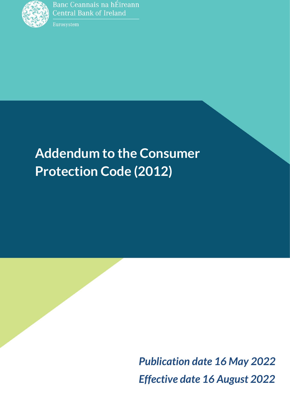

Banc Ceannais na hÉireann **Central Bank of Ireland** 

Eurosystem

# **Addendum to the Consumer Protection Code (2012)**

*Publication date 16 May 2022 Effective date 16 August 2022*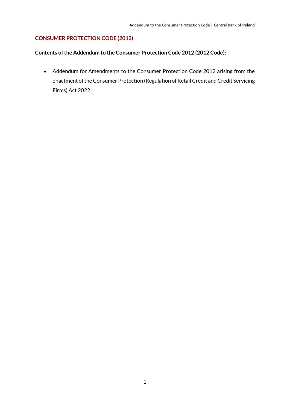## **CONSUMER PROTECTION CODE (2012)**

#### **Contents of the Addendum to the Consumer Protection Code 2012 (2012 Code):**

 Addendum for Amendments to the Consumer Protection Code 2012 arising from the enactment of the Consumer Protection (Regulation of Retail Credit and Credit Servicing Firms) Act 2022.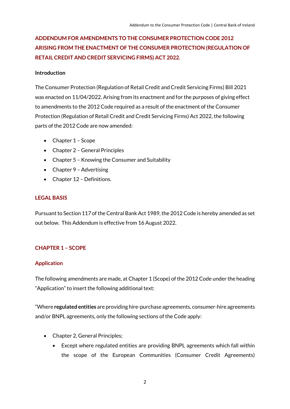# **ADDENDUM FOR AMENDMENTS TO THE CONSUMER PROTECTION CODE 2012 ARISING FROM THE ENACTMENT OF THE CONSUMER PROTECTION (REGULATION OF RETAIL CREDIT AND CREDIT SERVICING FIRMS) ACT 2022.**

#### **Introduction**

The Consumer Protection (Regulation of Retail Credit and Credit Servicing Firms) Bill 2021 was enacted on 11/04/2022. Arising from its enactment and for the purposes of giving effect to amendments to the 2012 Code required as a result of the enactment of the Consumer Protection (Regulation of Retail Credit and Credit Servicing Firms) Act 2022, the following parts of the 2012 Code are now amended:

- Chapter 1 Scope
- Chapter 2 General Principles
- Chapter 5 Knowing the Consumer and Suitability
- Chapter 9 Advertising
- Chapter 12 Definitions.

#### **LEGAL BASIS**

Pursuant to Section 117 of the Central Bank Act 1989, the 2012 Code is hereby amended as set out below. This Addendum is effective from 16 August 2022.

#### **CHAPTER 1 – SCOPE**

#### **Application**

The following amendments are made, at Chapter 1 (Scope) of the 2012 Code under the heading "Application" to insert the following additional text:

"Where **regulated entities** are providing hire-purchase agreements, consumer-hire agreements and/or BNPL agreements, only the following sections of the Code apply:

- Chapter 2, General Principles;
	- Except where regulated entities are providing BNPL agreements which fall within the scope of the European Communities (Consumer Credit Agreements)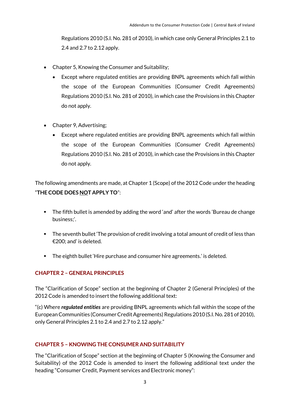Regulations 2010 (S.I. No. 281 of 2010), in which case only General Principles 2.1 to 2.4 and 2.7 to 2.12 apply.

- Chapter 5, Knowing the Consumer and Suitability;
	- Except where regulated entities are providing BNPL agreements which fall within the scope of the European Communities (Consumer Credit Agreements) Regulations 2010 (S.I. No. 281 of 2010), in which case the Provisions in this Chapter do not apply.
- Chapter 9, Advertising;
	- Except where regulated entities are providing BNPL agreements which fall within the scope of the European Communities (Consumer Credit Agreements) Regulations 2010 (S.I. No. 281 of 2010), in which case the Provisions in this Chapter do not apply.

The following amendments are made, at Chapter 1 (Scope) of the 2012 Code under the heading "**THE CODE DOES NOT APPLY TO**":

- The fifth bullet is amended by adding the word 'and' after the words 'Bureau de change business;'.
- **The seventh bullet 'The provision of credit involving a total amount of credit of less than** €200; and' is deleted.
- The eighth bullet 'Hire purchase and consumer hire agreements.' is deleted.

# **CHAPTER 2 – GENERAL PRINCIPLES**

The "Clarification of Scope" section at the beginning of Chapter 2 (General Principles) of the 2012 Code is amended to insert the following additional text:

"(c) Where *regulated entities* are providing BNPL agreements which fall within the scope of the European Communities (Consumer Credit Agreements) Regulations 2010 (S.I. No. 281 of 2010), only General Principles 2.1 to 2.4 and 2.7 to 2.12 apply."

## **CHAPTER 5 – KNOWING THE CONSUMER AND SUITABILITY**

The "Clarification of Scope" section at the beginning of Chapter 5 (Knowing the Consumer and Suitability) of the 2012 Code is amended to insert the following additional text under the heading "Consumer Credit, Payment services and Electronic money":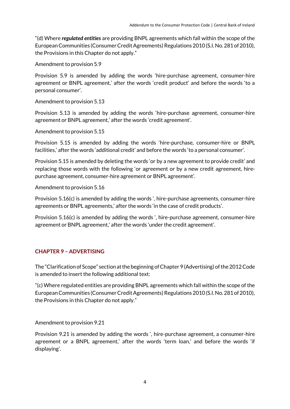"(d) Where *regulated entities* are providing BNPL agreements which fall within the scope of the European Communities (Consumer Credit Agreements) Regulations 2010 (S.I. No. 281 of 2010), the Provisions in this Chapter do not apply."

Amendment to provision 5.9

Provision 5.9 is amended by adding the words 'hire-purchase agreement, consumer-hire agreement or BNPL agreement,' after the words 'credit product' and before the words 'to a personal consumer'.

Amendment to provision 5.13

Provision 5.13 is amended by adding the words 'hire-purchase agreement, consumer-hire agreement or BNPL agreement,' after the words 'credit agreement'.

Amendment to provision 5.15

Provision 5.15 is amended by adding the words 'hire-purchase, consumer-hire or BNPL facilities,' after the words 'additional credit' and before the words 'to a personal consumer'.

Provision 5.15 is amended by deleting the words 'or by a new agreement to provide credit' and replacing those words with the following 'or agreement or by a new credit agreement, hirepurchase agreement, consumer-hire agreement or BNPL agreement'.

Amendment to provision 5.16

Provision 5.16(c) is amended by adding the words ', hire-purchase agreements, consumer-hire agreements or BNPL agreements,' after the words 'in the case of credit products'.

Provision 5.16(c) is amended by adding the words ', hire-purchase agreement, consumer-hire agreement or BNPL agreement,' after the words 'under the credit agreement'.

# **CHAPTER 9 – ADVERTISING**

The "Clarification of Scope" section at the beginning of Chapter 9 (Advertising) ofthe 2012 Code is amended to insert the following additional text:

"(c) Where regulated entities are providing BNPL agreements which fall within the scope of the European Communities (Consumer Credit Agreements) Regulations 2010 (S.I. No. 281 of 2010), the Provisions in this Chapter do not apply."

Amendment to provision 9.21

Provision 9.21 is amended by adding the words ', hire-purchase agreement, a consumer-hire agreement or a BNPL agreement,' after the words 'term loan,' and before the words 'if displaying'.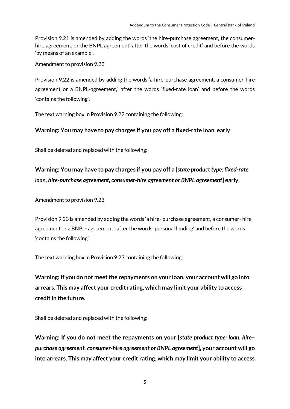Provision 9.21 is amended by adding the words 'the hire-purchase agreement, the consumerhire agreement, or the BNPL agreement' after the words 'cost of credit' and before the words 'by means of an example'.

Amendment to provision 9.22

Provision 9.22 is amended by adding the words 'a hire-purchase agreement, a consumer-hire agreement or a BNPL-agreement,' after the words 'fixed-rate loan' and before the words 'contains the following'.

The text warning box in Provision 9.22 containing the following:

#### **Warning: You may have to pay charges if you pay off a fixed-rate loan, early**

Shall be deleted and replaced with the following:

**Warning: You may have to pay charges if you pay off a [***state product type: fixed-rate loan, hire-purchase agreement, consumer-hire agreement or BNPL agreement***] early.**

Amendment to provision 9.23

Provision 9.23 is amended by adding the words 'a hire- purchase agreement, a consumer- hire agreement or a BNPL- agreement,' after the words 'personal lending' and before the words 'contains the following'.

The text warning box in Provision 9.23 containing the following:

**Warning: If you do not meet the repayments on your loan, your account will go into arrears. This may affect your credit rating, which may limit your ability to access credit in the future.**

Shall be deleted and replaced with the following:

**Warning: If you do not meet the repayments on your [***state product type: loan, hire– purchase agreement, consumer-hire agreement or BNPL agreement***], your account will go into arrears. This may affect your credit rating, which may limit your ability to access**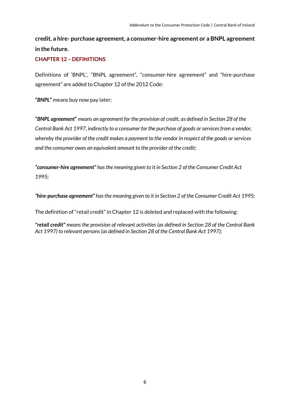# **credit, a hire- purchase agreement, a consumer-hire agreement or a BNPL agreement in the future.**

#### **CHAPTER 12 – DEFINITIONS**

Definitions of 'BNPL', "BNPL agreement", "consumer-hire agreement" and "hire-purchase agreement" are added to Chapter 12 of the 2012 Code:

**"***BNPL***"** means buy now pay later;

**"***BNPL agreement***"** *means an agreement for the provision of credit, as defined in Section 28 of the Central Bank Act 1997, indirectly to a consumer for the purchase of goods or services from a vendor, whereby the provider of the credit makes a payment to the vendor in respect of the goods or services and the consumer owes an equivalent amount to the provider of the credit;*

*"consumer-hire agreement" has the meaning given to it in Section 2 of the Consumer Credit Act 1995;*

*"hire-purchase agreement" has the meaning given to it in Section 2 of the Consumer Credit Act 1995;*

The definition of "retail credit" in Chapter 12 is deleted and replaced with the following:

*"retail credit" means the provision of relevant activities (as defined in Section 28 of the Central Bank Act 1997) to relevant persons (as defined in Section 28 of the Central Bank Act 1997);*